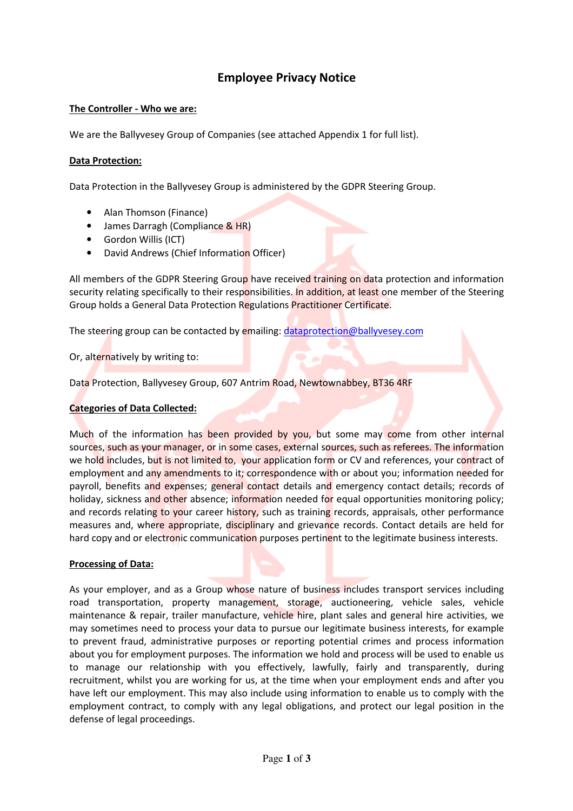# Employee Privacy Notice

## The Controller - Who we are:

We are the Ballyvesey Group of Companies (see attached Appendix 1 for full list).

## Data Protection:

Data Protection in the Ballyvesey Group is administered by the GDPR Steering Group.

- Alan Thomson (Finance)
- James Darragh (Compliance & HR)
- Gordon Willis (ICT)
- David Andrews (Chief Information Officer)

All members of the GDPR Steering Group have received training on data protection and information security relating specifically to their responsibilities. In addition, at least one member of the Steering Group holds a General Data Protection Regulations Practitioner Certificate.

The steering group can be contacted by emailing: dataprotection@ballyvesey.com

# Or, alternatively by writing to:

Data Protection, Ballyvesey Group, 607 Antrim Road, Newtownabbey, BT36 4RF

## Categories of Data Collected:

Much of the information has been provided by you, but some may come from other internal sources, such as your manager, or in some cases, external sources, such as referees. The information we hold includes, but is not limited to, your application form or CV and references, your contract of employment and any amendments to it; correspondence with or about you; information needed for payroll, benefits and expenses; general contact details and emergency contact details; records of holiday, sickness and other absence; information needed for equal opportunities monitoring policy; and records relating to your career history, such as training records, appraisals, other performance measures and, where appropriate, disciplinary and grievance records. Contact details are held for hard copy and or electronic communication purposes pertinent to the legitimate business interests.

## Processing of Data:

As your employer, and as a Group whose nature of business includes transport services including road transportation, property management, storage, auctioneering, vehicle sales, vehicle maintenance & repair, trailer manufacture, vehicle hire, plant sales and general hire activities, we may sometimes need to process your data to pursue our legitimate business interests, for example to prevent fraud, administrative purposes or reporting potential crimes and process information about you for employment purposes. The information we hold and process will be used to enable us to manage our relationship with you effectively, lawfully, fairly and transparently, during recruitment, whilst you are working for us, at the time when your employment ends and after you have left our employment. This may also include using information to enable us to comply with the employment contract, to comply with any legal obligations, and protect our legal position in the defense of legal proceedings.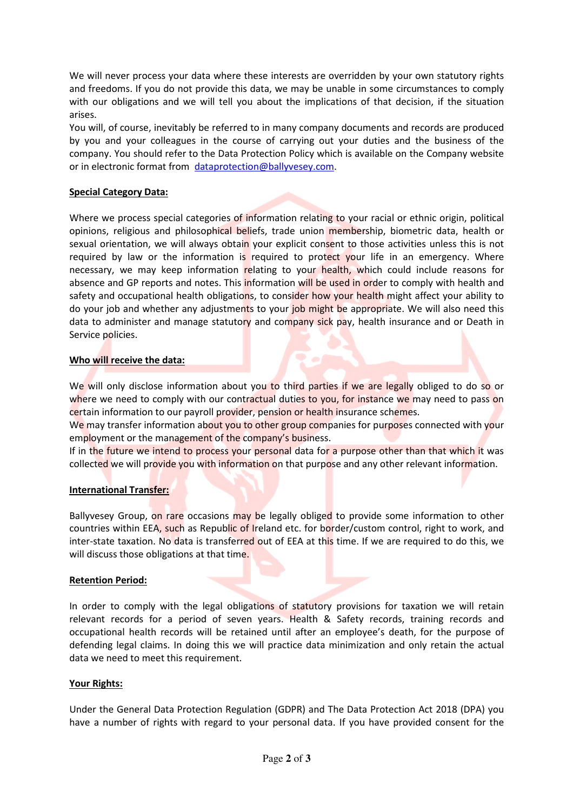We will never process your data where these interests are overridden by your own statutory rights and freedoms. If you do not provide this data, we may be unable in some circumstances to comply with our obligations and we will tell you about the implications of that decision, if the situation arises.

You will, of course, inevitably be referred to in many company documents and records are produced by you and your colleagues in the course of carrying out your duties and the business of the company. You should refer to the Data Protection Policy which is available on the Company website or in electronic format from dataprotection@ballyvesey.com.

## Special Category Data:

Where we process special categories of information relating to your racial or ethnic origin, political opinions, religious and philosophical beliefs, trade union membership, biometric data, health or sexual orientation, we will always obtain your explicit consent to those activities unless this is not required by law or the information is required to protect your life in an emergency. Where necessary, we may keep information relating to your health, which could include reasons for absence and GP reports and notes. This information will be used in order to comply with health and safety and occupational health obligations, to consider how your health might affect your ability to do your job and whether any adjustments to your job might be appropriate. We will also need this data to administer and manage statutory and company sick pay, health insurance and or Death in Service policies.

## Who will receive the data:

We will only disclose information about you to third parties if we are legally obliged to do so or where we need to comply with our contractual duties to you, for instance we may need to pass on certain information to our payroll provider, pension or health insurance schemes.

We may transfer information about you to other group companies for purposes connected with your employment or the management of the company's business.

If in the future we intend to process your personal data for a purpose other than that which it was collected we will provide you with information on that purpose and any other relevant information.

## International Transfer:

Ballyvesey Group, on rare occasions may be legally obliged to provide some information to other countries within EEA, such as Republic of Ireland etc. for border/custom control, right to work, and inter-state taxation. No data is transferred out of EEA at this time. If we are required to do this, we will discuss those obligations at that time.

## Retention Period:

In order to comply with the legal obligations of statutory provisions for taxation we will retain relevant records for a period of seven years. Health & Safety records, training records and occupational health records will be retained until after an employee's death, for the purpose of defending legal claims. In doing this we will practice data minimization and only retain the actual data we need to meet this requirement.

## Your Rights:

Under the General Data Protection Regulation (GDPR) and The Data Protection Act 2018 (DPA) you have a number of rights with regard to your personal data. If you have provided consent for the